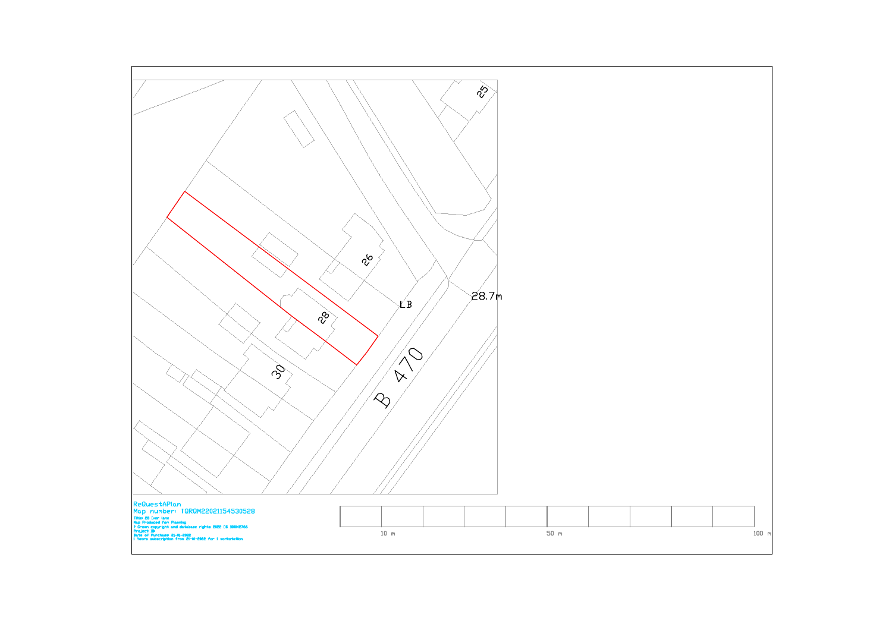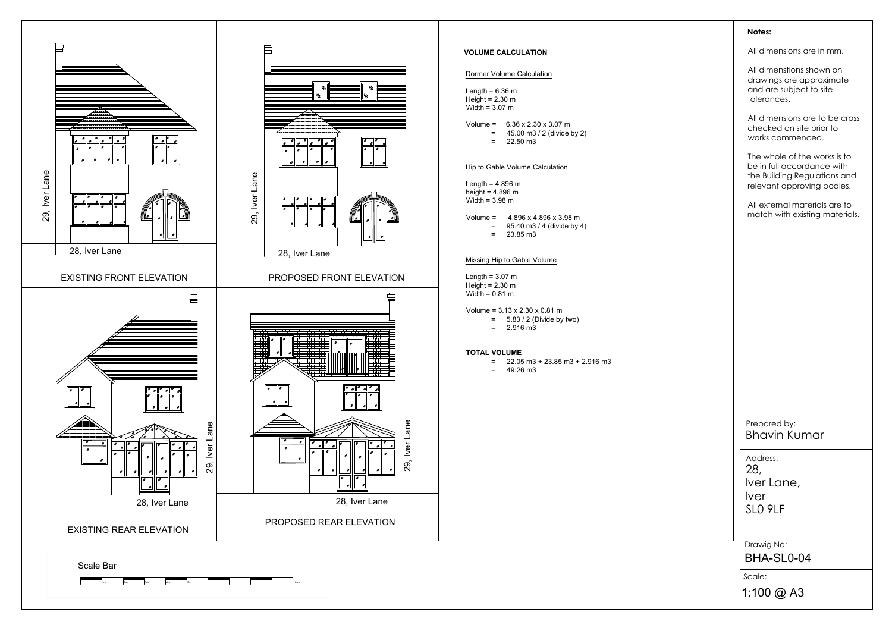

- -

- 
- 

| Notes:                                                                                                                   |  |  |
|--------------------------------------------------------------------------------------------------------------------------|--|--|
| All dimensions are in mm.                                                                                                |  |  |
| All dimenstions shown on<br>drawings are approximate<br>and are subject to site<br>tolerances.                           |  |  |
| All dimensions are to be cross<br>checked on site prior to<br>works commenced.                                           |  |  |
| The whole of the works is to<br>be in full accordance with<br>the Building Regulations and<br>relevant approving bodies. |  |  |
| All external materials are to<br>match with existing materials.                                                          |  |  |
|                                                                                                                          |  |  |
|                                                                                                                          |  |  |
|                                                                                                                          |  |  |
|                                                                                                                          |  |  |
|                                                                                                                          |  |  |
|                                                                                                                          |  |  |
|                                                                                                                          |  |  |
| Prepared by:<br><b>Bhavin Kumar</b>                                                                                      |  |  |
| Address:<br>28,                                                                                                          |  |  |
| lver Lane,<br>Iver                                                                                                       |  |  |
| SLO <sub>9LF</sub>                                                                                                       |  |  |
| Drawig No:<br>BHA-SL0-04                                                                                                 |  |  |
| Scale:                                                                                                                   |  |  |
| 1:100 @ A3                                                                                                               |  |  |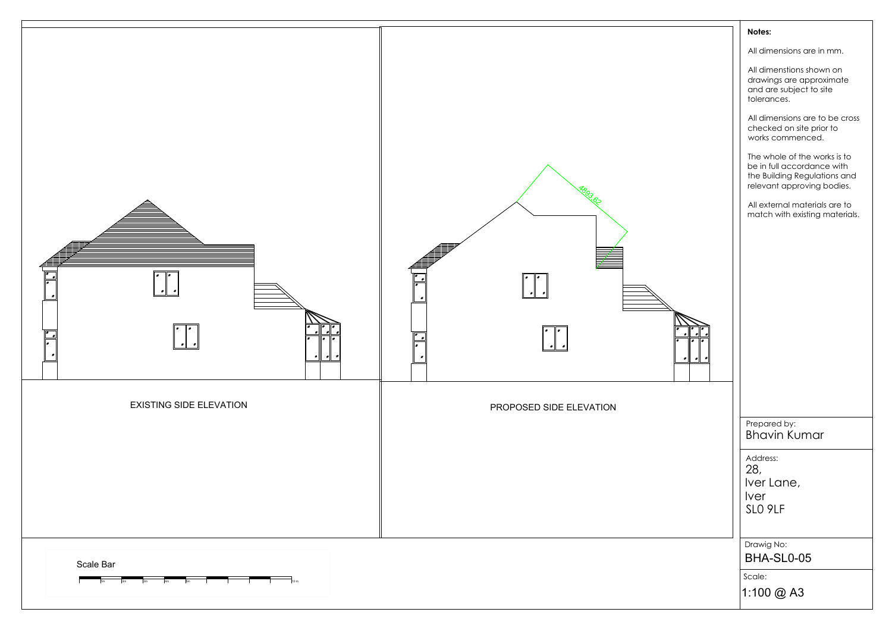|                                                |                               | Notes:<br>All dimensions are in mm.<br>All dimenstions shown on<br>drawings are approximate<br>and are subject to site<br>tolerances.<br>All dimensions are to be cross<br>checked on site prior to<br>works commenced.<br>The whole of the works is to<br>be in full accordance with<br>the Building Regulations and<br>relevant approving bodies.<br>All external materials are to<br>match with existing materials. |
|------------------------------------------------|-------------------------------|------------------------------------------------------------------------------------------------------------------------------------------------------------------------------------------------------------------------------------------------------------------------------------------------------------------------------------------------------------------------------------------------------------------------|
| $\frac{1}{2}$<br>$\bullet$ $\bullet$ $\bullet$ | $\bullet$ $\bullet$ $\bullet$ |                                                                                                                                                                                                                                                                                                                                                                                                                        |
| <b>EXISTING SIDE ELEVATION</b>                 | PROPOSED SIDE ELEVATION       | Prepared by:<br><b>Bhavin Kumar</b><br>Address:<br>28,<br>Iver Lane,<br><b>Iver</b><br>SLO <sub>9LF</sub>                                                                                                                                                                                                                                                                                                              |
| Scale Bar                                      |                               | Drawig No:<br><b>BHA-SL0-05</b><br>Scale:<br>1:100 @ A3                                                                                                                                                                                                                                                                                                                                                                |